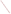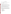#### **OVERVIEW SECTION**

# **AGENCY:** ENVIRONMENTAL PROTECTION AGENCY (EPA). **TITLE: "**TRIBAL ENVIRONMENTAL EDUCATION OUTREACH AND SUPPORT PROGRAM" **ACTION:** Request for Applications (RFA) - Initial Announcement.

**RFA NO:** OAR-IO-05-10

#### **CATALOG OF FEDERAL DOMESTIC ASSISTANCE (CFDA) NO:** 66.034

**DATES:** The closing date and time for receipt of Applications is May 27, 2005, 4:00 EDT. All applications, however transmitted, must be received in the Program Office by the closing date and time to receive consideration.

To allow for efficient management of the competitive process, EPA requests eligible organizations submit an informal notice of "Intent to Apply" by May 13, 2005. Submission of an Intent to Apply is optional; it is a process management tool that will allow EPA to better anticipate the total staff time required for efficient review, evaluation, and selection of submitted proposals.

**SUMMARY:** This notice announces the availability of funds and solicits proposals from state, local, multi-state, tribal agencies and non-profit public or private organizations or institutions, for provision of an education outreach program designed to reach tribal students and develop their understanding of and interest in pursuing careers in air quality and environmental programs in general.

**FUNDING/AWARDS:** The total estimated funding for this competitive opportunity shall not exceed \$1 million. In FY 2005, total funding shall not exceed \$200,000. EPA anticipates award of one cooperative agreement, whose annual value shall not exceed \$200,000, resulting from this competitive opportunity. The cooperative agreement will be funded incrementally. Additional funds may be added in each subsequent year of the agreement, subject to satisfactory performance and the availability of funds.

#### **CONTENTS BY SECTION**

- I. Funding Opportunity Description
- II. Award Information
- III. Eligibility Information
- IV. Application and Submission Information
- V. Application Review Information
- VI. Award Administration Information
- VII. Agency Contact
- VIII. Other Information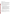#### **Section I - Funding Opportunity Description.**

#### **A. Background.**

Since 1993, The Office of Air and Radiation (OAR) has provided assistance agreements to ensure tribes receive appropriate support as they work to develop and implement air quality management programs. The "Tribal Environmental Education Outreach and Support Program" originally began as part of a larger program grant which provides tribes with comprehensive levels of training and technical support. The program has been in place for several years, and is part of an EPA commitment to work closely with partner tribal governments in recognition of the legal obligations and responsibilities the federal government has to tribes.

Under this funding opportunity, OAR will continue its support for the "Tribal Environmental Education Outreach and Support Program" as an ongoing independent program to ensure American Indian students, educators, and communities are properly informed of, and provided with opportunities to participate in, and pursue environmental careers, particularly in the field of air quality management.

The successful applicant will work extensively in Indian country with tribal students to provide the necessary outreach to achieve and demonstrate the desired outcomes.

#### **B. EPA Strategic Plan Linkage and Anticipated Outcomes/Outputs.**

- 1. *Linkage to EPA Strategic Plan.* This project supports progress towards EPA Strategic Plan Goal 1(Clean Air and Global Climate Change),Objective 1.1 (Healthier Outdoor Air), Sub-Objectives 1.1.1 (More People Breathing Clean Air) and 1.1.2 (Reduced Risk from Toxic Air Pollutants), Objective 1.2 (Healthier Indoor Air) and, Objective 1.4 (Radiation), Sub-Objectives 1.4.1 (Enhance Radiation Protection) and 1.4.2 (Maintain Emergency Response Readiness). This project supports EPA efforts to encourage and facilitate involvement of tribal partner governments in implementing the Clean Air Act in Indian country, through the provision of training and technical support.
- 2. *Outcomes.* Through this project EPA hopes to stimulate and encourage interest among tribal students in the pursuit of career options that will enable them to build tribal support and expertise to further CAA implementation and address air quality concerns in Indian country.
- 3. *Outputs.* The anticipated output for this project is training for a minimum of 300 tribal students per year, over the life of the agreement. EPA encourages applicants to propose methods that would provide quantification of the success of this program.

# **C. Scope of Work.**

EPA's Office of Air and Radiation is seeking applications from eligible entities to provide outreach, education, and training support to tribes that will encourage tribal students to develop an interest, understanding, and abilities to pursue careers in environment environmental sciences, particularly in the field of air quality management.

The anticipated activities associated with providing education, outreach, and support services envisioned under this project have been divided into six major tasks. The tasks and activities EPA is particularly interested in having addressed in the proposal are as follows: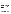#### **Task 1: Outreach to Tribal Schools, Students and Communities.**

Outreach should be provided to schools and other community groups and activities as appropriate. The outreach can be in the form of visits, lectures, activities, demonstrations and other approved methods as proposed, but should effectively build relationships and provide positive interactions to meet the programs' objectives.

Describe, in detail, how the proposer will provide outreach to tribal audience. The description should include types of outreach, staff and their qualifications and experience, and clearly identify the types and numbers of contacts planned including an explanation of how those activities will address and fulfill program objectives, and how accomplishments will be measured and reported.

#### **Task 2: Training Facility Site Visits.**

This task should invite students to a central training location where they can have an immersion experience exposing them to scientific and environmental experiences and principles that they can learn and understand in a friendly educational atmosphere. Visits can be a short as part of one day to as long as one week, where age appropriate. The location should be equipped to provide for recreational and residential needs. Chaperones from the community should be considered to increase the comfort and oversight of these visits.

The applicant should describe in detail how students will be identified, selected, transported, supervised and accommodated while visiting the central training facility for intensive training and educational activities. Description should include the planned activities, their duration and frequency, and staff and volunteers that will be involved, as well as the adequacy of facilities to provide a learning experience that will meet the program objectives.

#### **Task 3: Mentoring Programs.**

Mentoring programs involve providing programs that allow young people to connect with and learn from older people with backgrounds and experiences, particularly tribal college students and young environmental and air quality professionals. Mentoring programs should encourage ongoing, structured and supervised relationships that allow for the mentor to help the protegee understand professional options and make informed choices. Training is also part of a mentoring program, and should help identify career objectives and provide advise on how to meet them, provide networking opportunities and forums for professional growth.

Describe how mentoring program(s) will be established and conducted to meet program objectives. Include details on how mentors and protegees will be selected, trained and matched. Oversight and support from the proposer should also be described, as should methods for measuring success.

#### **Task 4: Professional Assistance and Support.**

The Professional Assistance and Support aspect of the program ensures that the direct activities are properly supported to provide meaningful materials, contacts, and support to ensure a comprehensive program. Professional Assistance and Support includes the ability to provide additional information on an ongoing basis, including encouraging ongoing contacts through mail, phone, electronic, internet and whatever means support the program objectives. Participants should be able to call during business hours and have requests responded to within a reasonable amount of time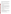The applicant should describe in detail how they intend to meet the obligations of providing technical assistance and support to ensure that staff are available to ensure the education and outreach program has the depth and support to answer questions quickly and comprehensively, provide additional information and materials and access to broader resources for both tribal students and educators to ensure the programs success. A system to track and report on activities should also be described.

#### **Task 5: Website.**

Provide and maintain a program website in support of all training and technical activities. The website should provide an access point to information, contacts, staff and other resources offered as part of the training program. On-line registration should be considered as an option as part of this activity.

Describe how the site will be maintained and updated, and the existing expertise available to carry out that task of ensuring the material accurately reflects the programs' content, as well as provides an effective two way communication too.

# **Task 6: Internship Programs.**

An important element for this program will be the availability of internship programs to enhance and solidify the learning experience, and to offer a perspective of broader opportunities in environmental careers. An internship program should offer the opportunity for tribal students to work for short periods in an academic, tribal or other governmental setting and gain additional experience and insight into career opportunities. Financial assistance should be available to all interns to support this activity.

The proposer should describe how an internship program would be structured and funded to give tribal environmental professionals and/or American Indian students access to internships that will enhance their professional development and/or experience and help them acquire skills and experiences necessary to promote successful tribal air quality and environmental programs.

# **D. Supplementary Information.**

The statutory authority for this action is Clean Air Act, Section 103(a)(5) which authorizes the Administrator to establish programs that conduct and promote coordination and acceleration of training for individuals relating to the causes, effect, extent, prevention, and control of air pollution.

#### **Section II - Award Information.**

# **A. What is the amount of funding available?**

The total estimated funding for this competitive opportunity shall not exceed \$1.0 million. EPA anticipates funding the successful application incrementally over the negotiated project performance period, subject to satisfactory performance and the availability of funds. In FY 2005, total funding shall not exceed \$\$200,000 . EPA anticipates award of one cooperative agreement, whose annual value shall not exceed \$200,000, resulting from this competitive opportunity.

# **B. How many agreements will EPA award in this competition?**

EPA anticipates award of one cooperative agreement whose annual value shall not exceed \$200,000 resulting from this competitive opportunity; subject to availability of funds.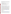Cooperative agreements permit substantial involvement between the EPA Project Officer and the selected applicants in the performance of the work supported. Although EPA will negotiate precise terms and conditions relating to substantial involvement as part of the award process, the anticipated substantial Federal involvement for this project will be:

- 1. EPA will closely monitor the successful applicant's performance to verify the results proposed by the applicant;
- 2. EPA will work in collaboration with the recipient during performance of the work;
- 3. EPA will approve substantive terms of proposed contracts;
- 4. EPA will approve qualifications of key personnel (EPA will not select employees or contractors employed by the award recipient):
- 5. EPA will review and comment on reports prepared under the cooperative agreement (the final decision on the content of reports rests with the recipient).

#### **C. What is the project period for awards resulting from this solicitation?**

The estimated project period for awards resulting from this solicitation is September 1, 2005 through August 31, 2010. All projects must be completed within the negotiated project performance period of one to five years.

#### **D. Can funding be used to acquire services or fund partnerships?**

Funding may be used to acquire services or fund partnerships, provided the recipient follows procurement and subaward or subgrant procedures contained in 4[0 CFR](http://www.gpoaccess.gov/cfr/retrieve.html) Parts 30 or 31, as applicable. Successful applicants must compete contracts for services and products and conduct cost and price analyses to the extent required by these regulations. The regulations also contain limitations on consultant compensation. Applicants are not required to identify contractors or consultants in their proposal. Moreover, the fact that a successful applicant has named a specific contractor or consultant in the proposal EPA approves does not relieve it of its obligations to comply with competitive procurement requirements.

Subgrants or subawards may be used to fund partnerships with non profit organizations and governmental entities. Successful applicants cannot use subgrants or subawards to avoid requirements in EPA grant regulations for competitive procurement by using these instruments to acquire commercial services or products to carry out its cooperative agreement. For profit organizations are not eligible subgrant recipients under this announcement. The nature of the transaction between the recipient and the subgrantee must be consistent with the standards for distinguishing between vendor transactions and subrecipient assistance under Subpart B Section .210 o[f OMB Circular A-133,](http://www.whitehouse.gov/omb/circulars/a133/a133.html) and the definitions of "subaward" at 40 CFR 30.2(ff) or "subgrant" at 40 CFR 31.3, as applicable. EPA will not be a party to these transactions.

#### **Section III - Eligibility Information.**

#### **A. Eligible Entities.**

Proposals will be accepted from States, territories, Indian Tribes, and possessions of the U.S., including the District of Columbia, public and private universities and colleges, hospitals, laboratories, other public or private nonprofit institutions, as defined b[y OMB Circular A-110](http://www.whitehouse.gov/omb/circulars/a110/a110.html) and [OMB Circular A-122.](http://www.whitehouse.gov/omb/circulars/a122/a122.html)

Non-profit organization, as defined by OMB Circular A-122, means any corporation, trust, association, cooperative, or other organization which: (1) is operated primarily for scientific, educational, service, charitable, or similar purposes in the public interest; (2) is not organized primarily for profit; and (3) uses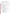its net proceeds to maintain, improve, and/or expand its operations. For this purpose, the term "non-profit organization" excludes (i) colleges and universities; (ii) hospitals; (iii) state, local, and federally-recognized Indian tribal governments; and (iv) those non-profit organizations which are excluded from coverage of this Circular in accordance with paragraph 5 of the Circular.

Non-profit organizations described in Section 501(c)(4) of the Internal Revenue Code that engage in lobbying activities as defined in Section 3 of the Lobbying Disclosure Act of 1995 are not eligible to apply.

# **B. Cost-Sharing or Matching.**

Although cost-sharing or matching is not required, as a condition of eligibility, or otherwise, for proposals selected for award, applicants proposing a voluntary financial or in-kind commitment of resources will improve their scoring under the "Resources" evaluation criterion of this solicitation. *(Refer to Section V(A), Evaluation Criteria.)*

Voluntary contributions of funds and/or in kind contributions of resources, if accepted by EPA, will be treated as cost shares under 40 CFR 30.24. Applicants must propose eligible and allowable in kind contributions of resources to qualify for an improved score under this criterion.

# **Section IV - Application and Submission Information.**

# **A. How to Obtain Application Package.**

Applicants may download individual grant application forms, or electronically request a paper application package and an accompanying computer CD of information related to applicants/grant recipients roles and responsibilities from EPA's Grants and Debarment website by visiting: [http://www.epa.gov/ogd/grants/how\\_to\\_apply.htm.](http://www.epa.gov/ogd/grants/how_to_apply.htm)

# **B. Content and Form of Application Submission.**

Applications must contain a narrative proposal, and one completed and signed federal grant application package. The narrative proposal must explicitly describe the applicant's proposed project and specifically address each of the evaluation criteria disclosed in *Section V(A), Evaluation Criteria*.

- 1. A complete application must contain the following, in the sequential order shown:
	- a. SF-424 Application for Federal Assistance, with original signature.
	- b. Narrative Statement, in the format detailed below.
	- c. Other supporting documentation.
	- d. SF-424 A, Budget by categories and indirect cost rate.
	- e. SF-424 B, Assurances for non-construction programs.
	- f. Certification Regarding Lobbying and SF LLL, if applicable.
	- g. EPA Form 4700-4 Preaward Compliance review report.
	- h. Quality Assurance Narrative Statement, if applicable.
	- i. Copy of Negotiated Indirect Cost Rate Agreement, if applicable.
	- j. Biographical Sketch.
	- k. E-mail address or self-addressed envelope (to receive notification of receipt of application).
- 2. The narrative proposal should conform to the following outline: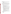- a. Cover Letter: Describe your organization's qualifications for the project; must be signed by an official with the authority to commit your organization to the project; and written on your organization's official letterhead.
- b. Summary Information Page.
	- 1. Project Title.
	- 2. Applicant Information. Include applicant (organization) name, address, contact person, phone number, fax and e-mail address.
	- 3. Funding Requested. Specify the amount you are requesting from EPA.
- c. Project Description. The project description must provide a concise overview of how the applicant will implement and conduct its operation and include a Project Work Plan (including a description of all tasks, dates of completion, products and deliverables, and proposed budget).

The narrative workplan should discuss how the proposal addresses each of the selection criteria in Section V and include:

- 1. A description of the applicant's experience, recognition in Indian country and capability to provide training to Tribal environmental program staff;
- 2. Evidence experience working with Native Americans in a culturally sensitive manner;
- 3. A location with reasonable access to Indian country;
- 4. Evidence of access to impartial and tribally sensitive environmental professionals such as academic faculty and staff;
- 5. Description of significant air quality and Clean Air Act experience;
- 6. Evidence of a clear understanding of the Tribal Authority Rule and it's implications for Indian country and relationships with EPA;
- 7. Evidence of in-depth understanding of Indian country, including it's culture, history, politics, health, spirituality, environmental challenges and conditions on reservations nationwide;
- 8. Evidence of a clear understanding of EPA's Indian Policy of 1984, the doctrines of Trust Responsibility and Fiduciary Responsibility, federal Indian law, and the government-to-government relationship between tribes and the federal government.
- 9. Discussion of the applicant's:
	- i. past performance in successfully completing federally and/or non-federally funded projects similar in size, scope, and relevance to the proposed project;
	- ii. history of meeting reporting requirements on prior or current assistance agreements with federal and/or non-federal organizations and submitting acceptable final technical reports;
	- iii. organizational experience and plan for timely and successfully achieving the objectives of the project,
	- iv. staff expertise/qualifications, staff knowledge, and resources or the ability to obtain them, to successfully achieve the goals of the project;
	- v. proposed method for recruitment, supervision, and evaluation of students and interns as they carry out their training activities;
	- vi. administration– system for reporting, record keeping, and tracking outreach and related activities.
- d. Detailed Itemized Budget. The proposal must include a detailed budget which clearly explains how funds will be used for the following categories:
	- 1. Personnel
	- 2. Fringe Benefits
	- 3. Contractual Costs
	- 4. Travel
	- 5. Equipment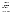US EPA ARCHIVE DOCUMENT

- 6. Supplies
- 7. Other (including intern stipends)
- 8. Total Indirect Costs (must include documentation of accepted indirect rate)
- 9. Total Cost

If not self-evident, entries under each category must be explained in the budget itself or in the project description. Costs proposed in the budget should be linked directly to the proposal.

e. Key Personnel. The applicant should submit an appendix with the resumes of up to three (3) key personnel who will be significantly involved in the project.

Applicants are strongly advised to avoid submission of non-essential materials unrelated to the proposal's requirements. Upon receipt, applications will be reviewed for content. Applications which do not conform to the specific outline and content detailed above may not be considered for award. **Incomplete applications will not be considered for award.** All application materials must be completed in English.

#### **C. Submission Dates and Times.**

1. To allow for efficient management of the competitive process, EPA requests eligible entities submit an informal notice of "Intent to Apply" by May 13, 2005, to the agency contact identified under *Section VII, Agency Contact.* Submission of an Intent to Apply is optional; it is a process management tool that will allow EPA to better anticipate the total staff time required for efficient review, evaluation, and selection of submitted proposals. Eligible entities not submitting an "Intent to Apply" are still eligible to apply by the closing date and time.

The written notice of "Intent to Apply" may be submitted via electronic mail. Please provide the name of your organization, a point of contact, phone number, email address, and the title of your project.

- 2. The closing date and time for submission of completed application packages is May 27, 2005, 4:00 p.m. EDT. All applications, however transmitted, must be received in the Program Office by the closing date to receive consideration. Applications received after the closing date will not be considered for funding.
- 3. Electronic Proposals (the narrative proposal and SF 424) must be submitted in Microsoft Word, WordPerfect, or pdf format to: harmon.darrel@epa.gov. Proposals will be considered timely upon receipt, not transmission. An e-mail response confirming receipt of electronic proposals will be provided. Proposals received after the deadline will not be considered for funding.
- 4. **Confidential Business Information.** In accordance with 40 CFR 2.203, applicants may claim all or a portion of their application/proposal as confidential business information. EPA will evaluate confidentiality claims in accordance with 40 CFR Part 2. Applicants must clearly mark applications/proposals or portions of applications/proposals they claim as confidential. If no claim of confidentiality is made, EPA is not required to make the inquiry to the applicant otherwise required by 40 CFR 2.204(c)(2) prior to disclosure.
- 5. Because of the unique situation involving U.S. mail screening. EPA highly recommends that applicants use an express mail option to submit their applications. The application must be addressed to:

Express Delivery Address (FedEx, UPS, DHL, etc.) U.S. EPA Headquartes Attn: Darrel Harmon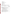OAR/IO Ariel Rios North, Room 5426G 1200 Pennsylvania Avenue, N.W., Washington, DC 20460

Regular Mail Delivery Address (U.S. Postal Service) U.S. EPA Headquarters Attn: Darrel Harmon (Mail Code 6101A) OAR/IO 1200 Pennsylvania Avenue, N.W., Washington, DC 20460

#### **Section V - Application Review Information.**

#### **A. Evaluation Criteria.**

Each eligible proposal, based on Section III, Eligibility Information, will be evaluated according to the criteria set forth below. Proposals that are best able to directly and explicitly address the evaluation criteria below will have a greater likelihood of being selected for award. Each proposal will be rated under a points system, with a total of 100 points possible.

| <b>Criterion</b>                                                                                                                                                                                                                                                                                                                                                                                                                                                                                                                                                                                                                                                                                                                                                                                                                                                                                                                                                                                                                                                                                                                                                                                                                                                                                                                                                                                                                                                                                                                                         | <b>Maximum</b><br><b>Points Per</b><br><b>Criterion</b> |
|----------------------------------------------------------------------------------------------------------------------------------------------------------------------------------------------------------------------------------------------------------------------------------------------------------------------------------------------------------------------------------------------------------------------------------------------------------------------------------------------------------------------------------------------------------------------------------------------------------------------------------------------------------------------------------------------------------------------------------------------------------------------------------------------------------------------------------------------------------------------------------------------------------------------------------------------------------------------------------------------------------------------------------------------------------------------------------------------------------------------------------------------------------------------------------------------------------------------------------------------------------------------------------------------------------------------------------------------------------------------------------------------------------------------------------------------------------------------------------------------------------------------------------------------------------|---------------------------------------------------------|
| <b>Project Description.</b> Extent to which the proposal effectively addresses each of the<br>four major tasks, sub-tasks, and proposal requirements detailed in Section I(D), Scope<br>of Work. Proposal demonstrates:<br>specific abilities to develop, implement and perform the activities described in<br>Tasks $1 - 6$ of Section I(C) including:<br>Task 1: design, implement and execute outreach program<br>Task 2: identify, select, transport, supervise and accommodate students during<br>visits to a centrally located training facility as well as activities to be<br>developed and undertaken during those visits<br>Task 3: establish and conduct all aspects of mentoring programs<br>$\bullet$<br>Task 4: provide professional assistance and support to follow-up on other<br>$\bullet$<br>activities<br>Task 5: develop, maintain and update a program website<br>Task 6: develop, structure and fund an internship program<br>• significant knowledge of and experience working with the Clean Air Act and the<br>Tribal Authority Rule, EPA's 1984 Indian Policy, the doctrines of fiduciary and<br>trust responsibility, federal Indian law, the government-to-government relationship<br>between EPA and tribes, and other relevant federal acts, policies, laws and<br>executive orders.<br>• evidence that the contractor has experience working with Native Americans in a<br>culturally sensitive manner that would support the goals and policies of EPA's<br>Indian Policy of 1984 and the federal trust responsibility. | 30                                                      |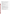| <b>Programmatic Capability.</b> Extent to which proposal demonstrates the applicant's<br>technical capability to successfully carry out this project. This factor will evaluate the<br>applicant's:<br>past performance in successfully completing federally and/or non-federally funded<br>projects similar in size, scope, and relevance to the proposed project;<br>• history of meeting reporting requirements on prior or current assistance agreements<br>with federal and/or non-federal organizations and submitting acceptable final<br>technical reports;<br>• organizational experience and plan for timely and successfully achieving the<br>objectives of the project,<br>• staff expertise/qualifications, staff knowledge, and resources or the ability to obtain<br>them, to successfully achieve the goals of the project<br>• proposed method for recruitment, supervision, and evaluation of students and<br>interns as they carry out their training activities;<br>• administration-system for reporting, record keeping, and tracking outreach and<br>related activities.                                                                                                                                                                                                                                                                                                                                                                              | 20 |
|------------------------------------------------------------------------------------------------------------------------------------------------------------------------------------------------------------------------------------------------------------------------------------------------------------------------------------------------------------------------------------------------------------------------------------------------------------------------------------------------------------------------------------------------------------------------------------------------------------------------------------------------------------------------------------------------------------------------------------------------------------------------------------------------------------------------------------------------------------------------------------------------------------------------------------------------------------------------------------------------------------------------------------------------------------------------------------------------------------------------------------------------------------------------------------------------------------------------------------------------------------------------------------------------------------------------------------------------------------------------------------------------------------------------------------------------------------------------------|----|
| <b>Experience.</b> Extent to which the proposal demonstrates applicant's expertise and<br>experience:<br>• in managing similar outreach programs; and, how administration of the proposed<br>project will further the recipient's mission.<br>• delivering outreach and training courses in both interactive and lecture formats<br>developing meaningful relationships and acceptance by tribal members,<br>$\bullet$<br>communities and governments that may be beneficial in successfully reaching tribal<br>audiences and fostering tribal participation.<br>applicant's experience with tribes, tribal structure and their environmental issues.<br>significant knowledge of and experience working with the Clean Air Act and the<br>Tribal Authority Rule, EPA's 1984 Indian Policy, the doctrines of fiduciary and<br>trust responsibility, federal Indian law, the government-to-government relationship<br>between EPA and tribes, and other relevant federal acts, policies, laws and<br>executive orders.<br>• in-depth understanding of Indian country, including its culture, history, politics,<br>health, spirituality, environmental challenges and environmental conditions on<br>reservations nationwide.<br>evidence that the contractor has experience working with Native Americans in a<br>$\bullet$<br>culturally sensitive manner that would support the goals and policies of EPA's<br>Indian Policy of 1984 and the federal trust responsibility. | 20 |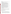#### **Resources:** 1. Is the budget clearly stated, detailed, and appropriate to achieve the project's objectives? 2. Does applicant propose other sources of funding for the project (including use of inkind goods and services)? 3. Have resources been committed by other project stakeholders? 4. The proposal demonstrates (i) how the applicant will coordinate the use of EPA funding with other Federal and/or non Federal sources of funds to leverage additional resources to carry out the proposed project(s) and/or (ii) that EPA funding will compliment activities relevant to the proposed project(s) carried out by the applicant with other sources of funds or resources. Applicants may use their own funds or other resources for a voluntary match or cost share if the standards at 40 CFR 30.23 or 40 CFR 31.24, as applicable, are met. Only eligible and allowable costs may be used for matches or cost shares. Other Federal grants may not be used as matches or cost shares without specific statutory authority (e.g. HUD's Community Development Block Grants. 15 **Performance Measurement.** Applicant's proposal includes an effective method for tracking the number of tribal students receiving outreach/training, and their post training activities, in increasing tribal students' participation in environmental and particularly air quality programs, to assist tribes in addressing air quality concerns. 10 **Location.** Applicant's physical location and the majority of its business operations are within reasonable proximity to Indian country. Proximity is important because close contact and accessibility to tribes and tribal students is essential, and reasonable proximity will help minimize travel expenses. Applicant's proposal must demonstrate the ability to provide a centralized training facility, including adequate accommodations and oversight, for student visits to gain exposure to scientific and environmental experiences. 5

# **C. Review and Selection Process.**

Each application will be evaluated by a team chosen to address a full range of issues associated with air quality. This Evaluation Team will base its evaluation solely on the selection criteria disclosed in this notice. *(Refer to Section V(A), Evaluation Criteria)*.

Completed evaluations, from the Evaluation Team, will be referred to a Selection Committee that is responsible for further consideration and final selection of proposals. The highest numerically-ranked proposal will be recommended for award.

# **Section VI - Award Administration Information.**

# **A. Award Notices.**

Following final selections, all applicants will be notified regarding their application's status.

1. EPA anticipates notification to *successful* applicant(s) will be made via telephone, electronic or postal mail by June 22, 2005. This notification, which advises that the applicant's proposal has been selected and is being recommended for award, is not an authorization to begin performance. The award notice signed by the EPA grants officer is the authorizing document and will be provided through postal mail. At a minimum, this process can take up to 90 days from the date of selection.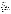2. EPA anticipates notification to *unsuccessful* applicant(s) will be made via electronic or postal mail by June 22, 2005. In either event, the notification will be sent to the original signer of the application.

# **B. Administrative and National Policy Requirements.**

- 1. A listing and description of general EPA Regulations applicable to the award of assistance agreements may be viewed at[: http://www.epa.gov/ogd/AppKit/applicable\\_epa\\_regulations\\_and\\_description.htm.](http://www.epa.gov/ogd/AppKit/applicable_epa_regulations_and_description.htm)
- 2. Executive Order 12372, Intergovernmental Review of Federal Programs may be applicable to awards, resulting from this announcement. Applicants *selected* for funding may be required to provide a copy of their proposal to thei[r State Point of Contact](http://www.whitehouse.gov/omb/grants/spoc.html) (SPOC) for review, pursuant to Executive Order 12372, Intergovernmental Review of Federal Programs. This review is not required with the Initial Proposal and not all states require such a review.
- 3. All applicants are required to provide a Dun and Bradstreet (D&B) Data Universal Numbering System (DUNS) number when applying for a Federal grant or cooperative agreement. Applicants can receive a DUNS number, at no cost, by calling the dedicated toll-free DUNS Number request line at 1-866- 705-5711, or visiting the D&B website at: [http://www.dnb.com.](http://www.dnb.com/us/)

# **C. Reporting Requirement.**

The recipient agrees to submit quarterly progress reports to the EPA Project Officer within thirty days after each reporting period. These reports shall cover work status, work progress, difficulties encountered, preliminary data results and a statement of activity anticipated during the subsequent reporting period, including a description of equipment, techniques, and materials to be used or evaluated. A discussion of expenditures along with a comparison of the percentage of the project completed to the project schedule and an explanation of significant discrepancies shall be included in the report. The report shall also include any changes of key personnel concerned with the project.

# **D. Disputes.**

Assistance agreement competition-related disputes will be resolved in accordance with the [dispute](http://a257.g.akamaitech.net/7/257/2422/01jan20051800/edocket.access.gpo.gov/2005/05-1371.htm) [resolution procedures](http://a257.g.akamaitech.net/7/257/2422/01jan20051800/edocket.access.gpo.gov/2005/05-1371.htm) published in 70 FR (Federal Register) 3629, 3630 (January 26, 2005) located on the web at: http://a257.g.akamaitech.net/7/257/2422/01jan20051800/edocket.access.gpo.gov/2005/05- 1371.htm. Copies of these procedures may also be requested by contacting the Agency contact identified in Section VII of this solicitation.

# **E. Pre-Award Administrative Capability Review.**

Non-profit applicants recommended for funding under this solicitation, depending on the size of the award, may be required to complete and submit, with supporting documentation, an "EPA Administrative Capability Questionnaire."

# **Section VII - Agency Contact.**

**FOR FURTHER INFORMATION CONTACT:** Darrel Harmon, U.S. EPA, Office of Air and Radiation (MC 6101A), 1200 Pennsylvania Avenue, N.W., Washington, DC 20460 Fax: (202)501-0394, or email to: harmon.darrel@epa.gov.

All questions or comments must be communicated in writing via postal mail, facsimile, or electronic mail